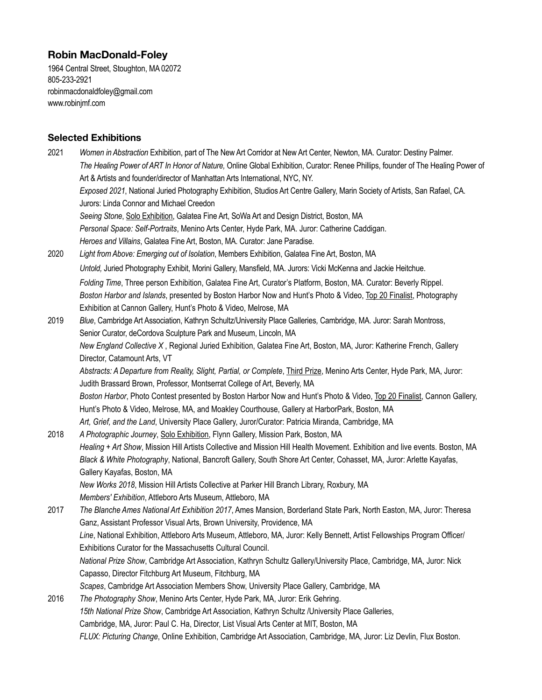# **Robin MacDonald-Foley**

1964 Central Street, Stoughton, MA 02072 805-233-2921 [robinmacdonaldfoley@gmail.com](mailto:robinmacdonaldfoley@gmail.com) [www.robinjmf.com](http://www.robinjmf.com) 

## **Selected Exhibitions**

| 2021         | Women in Abstraction Exhibition, part of The New Art Corridor at New Art Center, Newton, MA. Curator: Destiny Palmer.<br>The Healing Power of ART In Honor of Nature, Online Global Exhibition, Curator: Renee Phillips, founder of The Healing Power of |
|--------------|----------------------------------------------------------------------------------------------------------------------------------------------------------------------------------------------------------------------------------------------------------|
|              | Art & Artists and founder/director of Manhattan Arts International, NYC, NY.                                                                                                                                                                             |
|              | Exposed 2021, National Juried Photography Exhibition, Studios Art Centre Gallery, Marin Society of Artists, San Rafael, CA.                                                                                                                              |
|              | Jurors: Linda Connor and Michael Creedon                                                                                                                                                                                                                 |
|              | Seeing Stone, Solo Exhibition, Galatea Fine Art, SoWa Art and Design District, Boston, MA                                                                                                                                                                |
|              | Personal Space: Self-Portraits, Menino Arts Center, Hyde Park, MA. Juror: Catherine Caddigan.                                                                                                                                                            |
|              | Heroes and Villains, Galatea Fine Art, Boston, MA. Curator: Jane Paradise.                                                                                                                                                                               |
| 2020<br>2019 | Light from Above: Emerging out of Isolation, Members Exhibition, Galatea Fine Art, Boston, MA                                                                                                                                                            |
|              |                                                                                                                                                                                                                                                          |
|              | Untold, Juried Photography Exhibit, Morini Gallery, Mansfield, MA. Jurors: Vicki McKenna and Jackie Heitchue.                                                                                                                                            |
|              | Folding Time, Three person Exhibition, Galatea Fine Art, Curator's Platform, Boston, MA. Curator: Beverly Rippel.                                                                                                                                        |
|              | Boston Harbor and Islands, presented by Boston Harbor Now and Hunt's Photo & Video, Top 20 Finalist, Photography                                                                                                                                         |
|              | Exhibition at Cannon Gallery, Hunt's Photo & Video, Melrose, MA                                                                                                                                                                                          |
|              | Blue, Cambridge Art Association, Kathryn Schultz/University Place Galleries, Cambridge, MA. Juror: Sarah Montross,                                                                                                                                       |
|              | Senior Curator, deCordova Sculpture Park and Museum, Lincoln, MA                                                                                                                                                                                         |
|              | New England Collective X, Regional Juried Exhibition, Galatea Fine Art, Boston, MA, Juror: Katherine French, Gallery<br>Director, Catamount Arts, VT                                                                                                     |
|              | Abstracts: A Departure from Reality, Slight, Partial, or Complete, <i>Third Prize</i> , Menino Arts Center, Hyde Park, MA, Juror:                                                                                                                        |
|              | Judith Brassard Brown, Professor, Montserrat College of Art, Beverly, MA                                                                                                                                                                                 |
|              | Boston Harbor, Photo Contest presented by Boston Harbor Now and Hunt's Photo & Video, Top 20 Finalist, Cannon Gallery,                                                                                                                                   |
|              | Hunt's Photo & Video, Melrose, MA, and Moakley Courthouse, Gallery at HarborPark, Boston, MA                                                                                                                                                             |
|              | Art, Grief, and the Land, University Place Gallery, Juror/Curator: Patricia Miranda, Cambridge, MA                                                                                                                                                       |
| 2018         | A Photographic Journey, Solo Exhibition, Flynn Gallery, Mission Park, Boston, MA                                                                                                                                                                         |
|              | Healing + Art Show, Mission Hill Artists Collective and Mission Hill Health Movement. Exhibition and live events. Boston, MA                                                                                                                             |
|              | Black & White Photography, National, Bancroft Gallery, South Shore Art Center, Cohasset, MA, Juror: Arlette Kayafas,                                                                                                                                     |
|              | Gallery Kayafas, Boston, MA                                                                                                                                                                                                                              |
|              | New Works 2018, Mission Hill Artists Collective at Parker Hill Branch Library, Roxbury, MA                                                                                                                                                               |
|              | Members' Exhibition, Attleboro Arts Museum, Attleboro, MA                                                                                                                                                                                                |
| 2017         | The Blanche Ames National Art Exhibition 2017, Ames Mansion, Borderland State Park, North Easton, MA, Juror: Theresa                                                                                                                                     |
|              | Ganz, Assistant Professor Visual Arts, Brown University, Providence, MA                                                                                                                                                                                  |
|              | Line, National Exhibition, Attleboro Arts Museum, Attleboro, MA, Juror: Kelly Bennett, Artist Fellowships Program Officer/                                                                                                                               |
|              | Exhibitions Curator for the Massachusetts Cultural Council.                                                                                                                                                                                              |
|              | National Prize Show, Cambridge Art Association, Kathryn Schultz Gallery/University Place, Cambridge, MA, Juror: Nick                                                                                                                                     |
|              | Capasso, Director Fitchburg Art Museum, Fitchburg, MA                                                                                                                                                                                                    |
|              | Scapes, Cambridge Art Association Members Show, University Place Gallery, Cambridge, MA                                                                                                                                                                  |
| 2016         | The Photography Show, Menino Arts Center, Hyde Park, MA, Juror: Erik Gehring.                                                                                                                                                                            |
|              | 15th National Prize Show, Cambridge Art Association, Kathryn Schultz /University Place Galleries,                                                                                                                                                        |
|              | Cambridge, MA, Juror: Paul C. Ha, Director, List Visual Arts Center at MIT, Boston, MA                                                                                                                                                                   |
|              | FLUX: Picturing Change, Online Exhibition, Cambridge Art Association, Cambridge, MA, Juror: Liz Devlin, Flux Boston.                                                                                                                                     |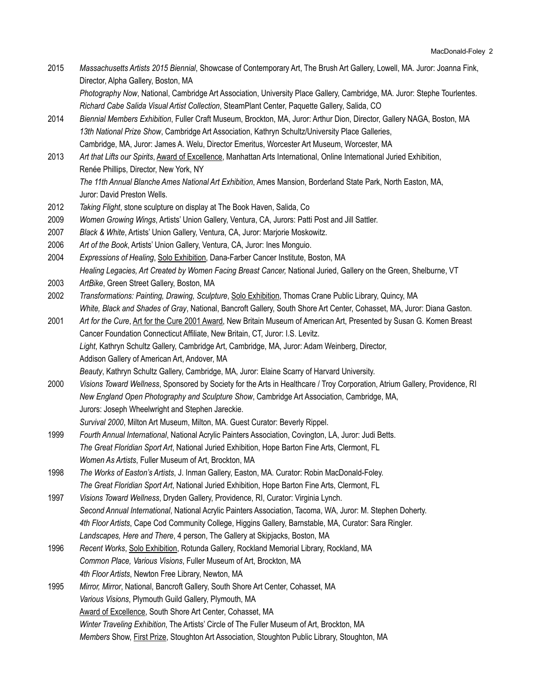2015 *Massachusetts Artists 2015 Biennial*, Showcase of Contemporary Art, The Brush Art Gallery, Lowell, MA. Juror: Joanna Fink, Director, Alpha Gallery, Boston, MA

 *Photography Now*, National, Cambridge Art Association, University Place Gallery, Cambridge, MA. Juror: Stephe Tourlentes. *Richard Cabe Salida Visual Artist Collection*, SteamPlant Center, Paquette Gallery, Salida, CO

- 2014 *Biennial Members Exhibition*, Fuller Craft Museum, Brockton, MA, Juror: Arthur Dion, Director, Gallery NAGA, Boston, MA *13th National Prize Show*, Cambridge Art Association, Kathryn Schultz/University Place Galleries, Cambridge, MA, Juror: James A. Welu, Director Emeritus, Worcester Art Museum, Worcester, MA
- 2013 *Art that Lifts our Spirits*, Award of Excellence, Manhattan Arts International, Online International Juried Exhibition, Renée Phillips, Director, New York, NY *The 11th Annual Blanche Ames National Art Exhibition*, Ames Mansion, Borderland State Park, North Easton, MA, Juror: David Preston Wells.
- 2012 *Taking Flight*, stone sculpture on display at The Book Haven, Salida, Co
- 2009 *Women Growing Wings*, Artists' Union Gallery, Ventura, CA, Jurors: Patti Post and Jill Sattler.
- 2007 *Black & White*, Artists' Union Gallery, Ventura, CA, Juror: Marjorie Moskowitz.
- 2006 *Art of the Book*, Artists' Union Gallery, Ventura, CA, Juror: Ines Monguio.
- 2004 *Expressions of Healing*, Solo Exhibition, Dana-Farber Cancer Institute, Boston, MA *Healing Legacies, Art Created by Women Facing Breast Cancer,* National Juried, Gallery on the Green, Shelburne, VT
- 2003 *ArtBike*, Green Street Gallery, Boston, MA
- 2002 *Transformations: Painting, Drawing, Sculpture*, Solo Exhibition, Thomas Crane Public Library, Quincy, MA *White, Black and Shades of Gray*, National, Bancroft Gallery, South Shore Art Center, Cohasset, MA, Juror: Diana Gaston.
- 2001 *Art for the Cure*, Art for the Cure 2001 Award, New Britain Museum of American Art, Presented by Susan G. Komen Breast Cancer Foundation Connecticut Affiliate, New Britain, CT, Juror: I.S. Levitz. *Light*, Kathryn Schultz Gallery, Cambridge Art, Cambridge, MA, Juror: Adam Weinberg, Director, Addison Gallery of American Art, Andover, MA *Beauty*, Kathryn Schultz Gallery, Cambridge, MA, Juror: Elaine Scarry of Harvard University.
- 2000 *Visions Toward Wellness*, Sponsored by Society for the Arts in Healthcare / Troy Corporation, Atrium Gallery, Providence, RI *New England Open Photography and Sculpture Show*, Cambridge Art Association, Cambridge, MA, Jurors: Joseph Wheelwright and Stephen Jareckie.
	- *Survival 2000*, Milton Art Museum, Milton, MA. Guest Curator: Beverly Rippel.
- 1999 *Fourth Annual International*, National Acrylic Painters Association, Covington, LA, Juror: Judi Betts. *The Great Floridian Sport Art*, National Juried Exhibition, Hope Barton Fine Arts, Clermont, FL *Women As Artists*, Fuller Museum of Art, Brockton, MA
- 1998 *The Works of Easton's Artists*, J. Inman Gallery, Easton, MA. Curator: Robin MacDonald-Foley. *The Great Floridian Sport Art*, National Juried Exhibition, Hope Barton Fine Arts, Clermont, FL
- 1997 *Visions Toward Wellness*, Dryden Gallery, Providence, RI, Curator: Virginia Lynch. *Second Annual International*, National Acrylic Painters Association, Tacoma, WA, Juror: M. Stephen Doherty. *4th Floor Artists*, Cape Cod Community College, Higgins Gallery, Barnstable, MA, Curator: Sara Ringler. *Landscapes, Here and There*, 4 person, The Gallery at Skipjacks, Boston, MA
- 1996 *Recent Works*, Solo Exhibition, Rotunda Gallery, Rockland Memorial Library, Rockland, MA *Common Place, Various Visions*, Fuller Museum of Art, Brockton, MA *4th Floor Artists*, Newton Free Library, Newton, MA
- 1995 *Mirror, Mirror*, National, Bancroft Gallery, South Shore Art Center, Cohasset, MA *Various Visions*, Plymouth Guild Gallery, Plymouth, MA Award of Excellence, South Shore Art Center, Cohasset, MA *Winter Traveling Exhibition*, The Artists' Circle of The Fuller Museum of Art, Brockton, MA *Members* Show, First Prize, Stoughton Art Association, Stoughton Public Library, Stoughton, MA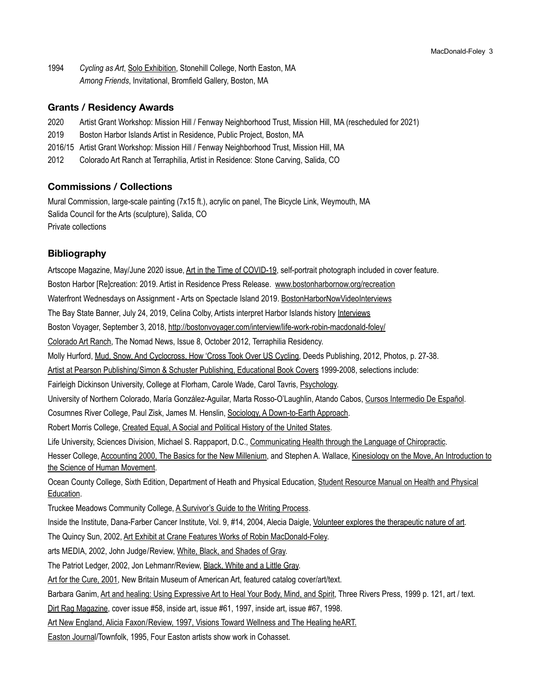1994 *Cycling as Art*, Solo Exhibition, Stonehill College, North Easton, MA *Among Friends*, Invitational, Bromfield Gallery, Boston, MA

### **Grants / Residency Awards**

- 2020 Artist Grant Workshop: Mission Hill / Fenway Neighborhood Trust, Mission Hill, MA (rescheduled for 2021)
- 2019 Boston Harbor Islands Artist in Residence, Public Project, Boston, MA
- 2016/15 Artist Grant Workshop: Mission Hill / Fenway Neighborhood Trust, Mission Hill, MA
- 2012 Colorado Art Ranch at Terraphilia, Artist in Residence: Stone Carving, Salida, CO

## **Commissions / Collections**

Mural Commission, large-scale painting (7x15 ft.), acrylic on panel, The Bicycle Link, Weymouth, MA Salida Council for the Arts (sculpture), Salida, CO Private collections

## **Bibliography**

Artscope Magazine, May/June 2020 issue, Art in the Time of COVID-19, self-portrait photograph included in cover feature. Boston Harbor [Re]creation: 2019. Artist in Residence Press Release. [www.bostonharbornow.org/recreation](http://www.bostonharbornow.org/recreation?fbclid=IwAR3P0nJcJVP-M5Ml-F7AD35BwAVskdgSBWjtc1kgRi0Me5ygmC3ZlVgAns8) Waterfront Wednesdays on Assignment - Arts on Spectacle Island 2019. [BostonHarborNowVideoInterviews](https://www.facebook.com/bostonharborassociation/videos/681256115708404/) The Bay State Banner, July 24, 2019, Celina Colby, Artists interpret Harbor Islands history [Interviews](https://www.baystatebanner.com/2019/07/24/artists-interpret-harbor-islands-history/?fbclid=IwAR2QGUS7WhTXAW8YSvRjSmB_3H_i6ZBqiwRDnpwZiGDGM-fOSnN1x0UaQcc) Boston Voyager, September 3, 2018,<http://bostonvoyager.com/interview/life-work-robin-macdonald-foley/> Colorado Art Ranch, The Nomad News, Issue 8, October 2012, Terraphilia Residency. Molly Hurford, Mud, Snow, And Cyclocross, How 'Cross Took Over US Cycling, Deeds Publishing, 2012, Photos, p. 27-38. Artist at Pearson Publishing/Simon & Schuster Publishing, Educational Book Covers 1999-2008, selections include: Fairleigh Dickinson University, College at Florham, Carole Wade, Carol Tavris, Psychology. University of Northern Colorado, María González-Aguilar, Marta Rosso-O'Laughlin, Atando Cabos, Cursos Intermedio De Español. Cosumnes River College, Paul Zisk, James M. Henslin, Sociology, A Down-to-Earth Approach. Robert Morris College, Created Equal, A Social and Political History of the United States. Life University, Sciences Division, Michael S. Rappaport, D.C., Communicating Health through the Language of Chiropractic. Hesser College, Accounting 2000, The Basics for the New Millenium, and Stephen A. Wallace, Kinesiology on the Move, An Introduction to the Science of Human Movement. Ocean County College, Sixth Edition, Department of Heath and Physical Education, Student Resource Manual on Health and Physical Education. Truckee Meadows Community College, A Survivor's Guide to the Writing Process. Inside the Institute, Dana-Farber Cancer Institute, Vol. 9, #14, 2004, Alecia Daigle, Volunteer explores the therapeutic nature of art. The Quincy Sun, 2002, Art Exhibit at Crane Features Works of Robin MacDonald-Foley. arts MEDIA, 2002, John Judge/Review, White, Black, and Shades of Gray. The Patriot Ledger, 2002, Jon Lehmanr/Review, Black, White and a Little Gray. Art for the Cure, 2001, New Britain Museum of American Art, featured catalog cover/art/text. Barbara Ganim, Art and healing: Using Expressive Art to Heal Your Body, Mind, and Spirit, Three Rivers Press, 1999 p. 121, art / text. Dirt Rag Magazine, cover issue #58, inside art, issue #61, 1997, inside art, issue #67, 1998. Art New England, Alicia Faxon/Review, 1997, Visions Toward Wellness and The Healing heART. Easton Journal/Townfolk, 1995, Four Easton artists show work in Cohasset.